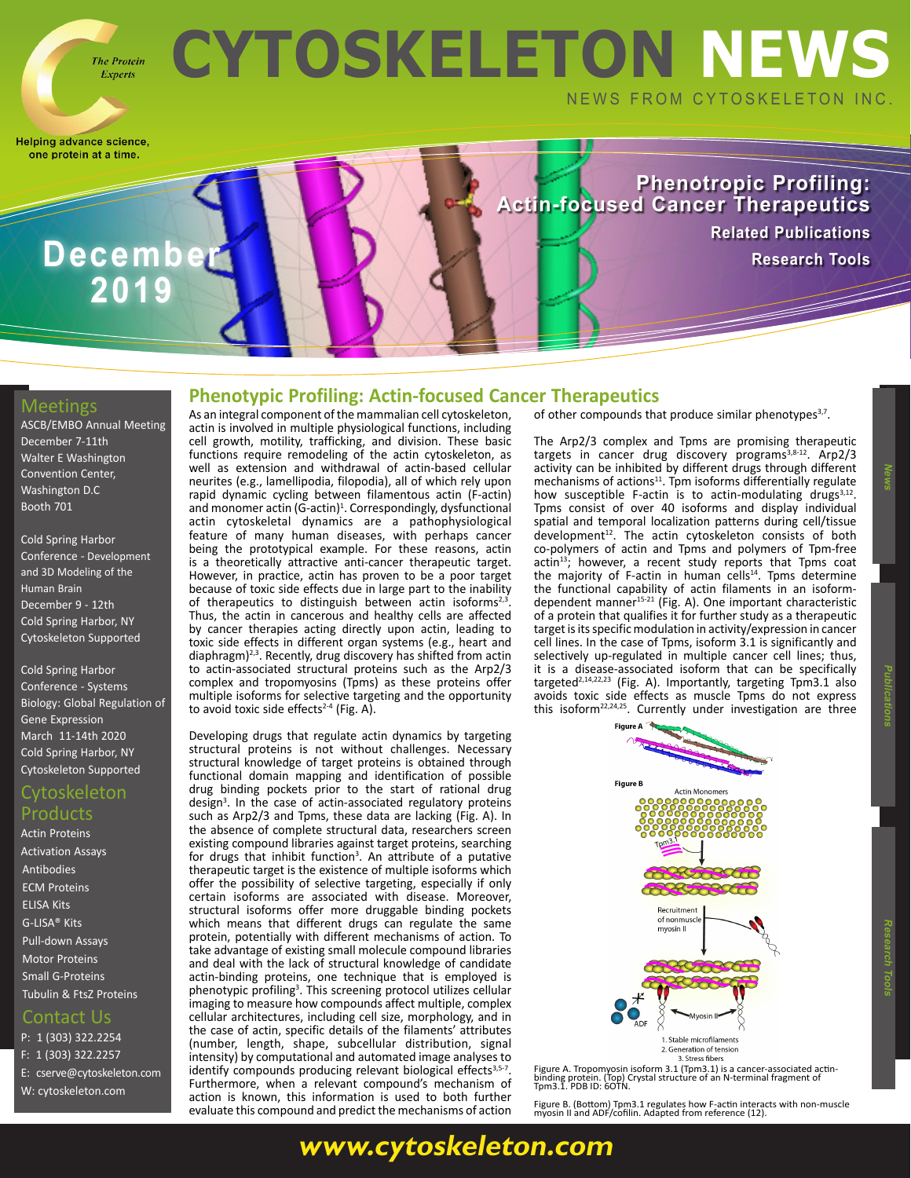# **CYTOSKELETON NEWS** NEWS FROM CYTOSKELETON INC.

Helping advance science, one protein at a time.

> **Phenotropic Profiling: Actin-focused Cancer Therapeutics [Related Publications](https://www.cytoskeleton.com/blog/)**

## **December 1999, 2009, Research Tools 2019**

**The Protein Experts** 

#### **Meetings**

[ASCB/EMBO Annual Meeting](https://www.ascb.org/2019ascbembo/) [December 7-11th](https://www.ascb.org/2019ascbembo/) [Walter E Washington](https://www.ascb.org/2019ascbembo/)  [Convention Center,](https://www.ascb.org/2019ascbembo/)  [Washington D.C](https://www.ascb.org/2019ascbembo/) [Booth 701](https://www.ascb.org/2019ascbembo/)

[Cold Spring Harbor](https://meetings.cshl.edu/meetings.aspx?meet=BRAIN&year=19) [Conference - Development](https://meetings.cshl.edu/meetings.aspx?meet=BRAIN&year=19)  [and 3D Modeling of the](https://meetings.cshl.edu/meetings.aspx?meet=BRAIN&year=19)  [Human Brain](https://meetings.cshl.edu/meetings.aspx?meet=BRAIN&year=19) [December 9 - 12th](https://meetings.cshl.edu/meetings.aspx?meet=BRAIN&year=19)  [Cold Spring Harbor, NY](https://meetings.cshl.edu/meetings.aspx?meet=BRAIN&year=19)  [Cytoskeleton Supported](https://meetings.cshl.edu/meetings.aspx?meet=BRAIN&year=19)

[Cold Spring Harbor](https://meetings.cshl.edu/meetings.aspx?meet=SYSTEMS&year=20)  [Conference - Systems](https://meetings.cshl.edu/meetings.aspx?meet=SYSTEMS&year=20)  [Biology: Global Regulation of](https://meetings.cshl.edu/meetings.aspx?meet=SYSTEMS&year=20)  Gene Expression March [11-14th 2020](https://meetings.cshl.edu/meetings.aspx?meet=SYSTEMS&year=20) [Cold Spring Harbor, NY](https://meetings.cshl.edu/meetings.aspx?meet=SYSTEMS&year=20)  [Cytoskeleton Supported](https://meetings.cshl.edu/meetings.aspx?meet=SYSTEMS&year=20)

#### Cytoskeleton Products

[Actin Proteins](https://www.cytoskeleton.com/actin-resources) [Activation Assays](http://www.cytoskeleton.com/BK038) [Antibodies](https://www.cytoskeleton.com/antibodies) [ECM Proteins](https://www.cytoskeleton.com/ecm) [ELISA Kits](https://www.cytoskeleton.com/bk150) [G-LISA® Kits](https://www.cytoskeleton.com/kits/glisa-assays) [Pull-down Assays](https://www.cytoskeleton.com/kits/pulldown-assays) [Motor Proteins](https://www.cytoskeleton.com/motor-proteins) [Small G-Proteins](https://www.cytoskeleton.com/small-g-proteins) [Tubulin & FtsZ Proteins](https://www.cytoskeleton.com/tubulins)

#### Contact Us

P: 1 (303) 322.2254 F: 1 (303) 322.2257 E: [cserve@cytoskeleton.com](mailto:cserve%40cytoskeleton.com?subject=Newsletter%20Email) W: [cytoskeleton.com](http://cytoskeleton.com)

#### **Phenotypic Profiling: Actin-focused Cancer Therapeutics <sup>v</sup>**

As an integral component of the mammalian cell cytoskeleton, actin is involved in multiple physiological functions, including cell growth, motility, trafficking, and division. These basic functions require remodeling of the actin cytoskeleton, as well as extension and withdrawal of actin-based cellular neurites (e.g., lamellipodia, filopodia), all of which rely upon rapid dynamic cycling between filamentous actin (F-actin) and monomer actin (G-actin)<sup>1</sup>. Correspondingly, dysfunctional actin cytoskeletal dynamics are a pathophysiological feature of many human diseases, with perhaps cancer being the prototypical example. For these reasons, actin is a theoretically attractive anti-cancer therapeutic target. However, in practice, actin has proven to be a poor target because of toxic side effects due in large part to the inability of therapeutics to distinguish between actin isoforms<sup>2,3</sup>. Thus, the actin in cancerous and healthy cells are affected by cancer therapies acting directly upon actin, leading to toxic side effects in different organ systems (e.g., heart and diaphragm)<sup>2,3</sup>. Recently, drug discovery has shifted from actin to actin-associated structural proteins such as the Arp2/3 complex and tropomyosins (Tpms) as these proteins offer multiple isoforms for selective targeting and the opportunity to avoid toxic side effects $2-4$  (Fig. A).

Developing drugs that regulate actin dynamics by targeting structural proteins is not without challenges. Necessary structural knowledge of target proteins is obtained through functional domain mapping and identification of possible drug binding pockets prior to the start of rational drug design<sup>3</sup>. In the case of actin-associated regulatory proteins such as Arp2/3 and Tpms, these data are lacking (Fig. A). In the absence of complete structural data, researchers screen existing compound libraries against target proteins, searching for drugs that inhibit function<sup>3</sup>. An attribute of a putative therapeutic target is the existence of multiple isoforms which offer the possibility of selective targeting, especially if only certain isoforms are associated with disease. Moreover, structural isoforms offer more druggable binding pockets which means that different drugs can regulate the same protein, potentially with different mechanisms of action. To take advantage of existing small molecule compound libraries and deal with the lack of structural knowledge of candidate actin-binding proteins, one technique that is employed is phenotypic profiling<sup>3</sup>. This screening protocol utilizes cellular imaging to measure how compounds affect multiple, complex cellular architectures, including cell size, morphology, and in the case of actin, specific details of the filaments' attributes (number, length, shape, subcellular distribution, signal intensity) by computational and automated image analyses to identify compounds producing relevant biological effects<sup>3,5-7</sup>. Furthermore, when a relevant compound's mechanism of action is known, this information is used to both further evaluate this compound and predict the mechanisms of action

**[www.cytoskeleton.com](http://www.cytoskeleton.com)**

of other compounds that produce similar phenotypes<sup>3,7</sup>.

The Arp2/3 complex and Tpms are promising therapeutic targets in cancer drug discovery programs<sup>3,8-12</sup>. Arp2/3 activity can be inhibited by different drugs through different mechanisms of actions $11$ . Tpm isoforms differentially regulate how susceptible F-actin is to actin-modulating drugs $3,12$ . Tpms consist of over 40 isoforms and display individual spatial and temporal localization patterns during cell/tissue development<sup>12</sup>. The actin cytoskeleton consists of both co-polymers of actin and Tpms and polymers of Tpm-free actin<sup>13</sup>; however, a recent study reports that Tpms coat the majority of F-actin in human cells<sup>14</sup>. Tpms determine the functional capability of actin filaments in an isoformdependent manner15-21 (Fig. A). One important characteristic of a protein that qualifies it for further study as a therapeutic target is its specific modulation in activity/expression in cancer cell lines. In the case of Tpms, isoform 3.1 is significantly and selectively up-regulated in multiple cancer cell lines; thus, it is a disease-associated isoform that can be specifically targeted<sup>2,14,22,23</sup> (Fig. A). Importantly, targeting Tpm3.1 also avoids toxic side effects as muscle Tpms do not express this isoform<sup>22,24,25</sup>. Currently under investigation are three



Figure A. Tropomyosin isoform 3.1 (Tpm3.1) is a cancer-associated actin-binding protein. (Top) Crystal structure of an N-terminal fragment of Tpm3.1. PDB ID: 6OTN.

Figure B. (Bottom) Tpm3.1 regulates how F-actin interacts with non-muscle myosin II and ADF/cofilin. Adapted from reference (12).

 **News Publications**